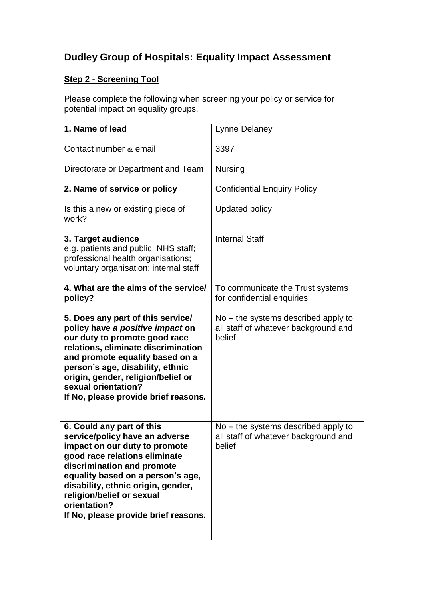## **Dudley Group of Hospitals: Equality Impact Assessment**

## **Step 2 - Screening Tool**

Please complete the following when screening your policy or service for potential impact on equality groups.

| 1. Name of lead                                                                                                                                                                                                                                                                                                             | Lynne Delaney                                                                           |
|-----------------------------------------------------------------------------------------------------------------------------------------------------------------------------------------------------------------------------------------------------------------------------------------------------------------------------|-----------------------------------------------------------------------------------------|
| Contact number & email                                                                                                                                                                                                                                                                                                      | 3397                                                                                    |
| Directorate or Department and Team                                                                                                                                                                                                                                                                                          | <b>Nursing</b>                                                                          |
| 2. Name of service or policy                                                                                                                                                                                                                                                                                                | <b>Confidential Enquiry Policy</b>                                                      |
| Is this a new or existing piece of<br>work?                                                                                                                                                                                                                                                                                 | <b>Updated policy</b>                                                                   |
| 3. Target audience<br>e.g. patients and public; NHS staff;<br>professional health organisations;<br>voluntary organisation; internal staff                                                                                                                                                                                  | <b>Internal Staff</b>                                                                   |
| 4. What are the aims of the service/<br>policy?                                                                                                                                                                                                                                                                             | To communicate the Trust systems<br>for confidential enquiries                          |
| 5. Does any part of this service/<br>policy have a positive impact on<br>our duty to promote good race<br>relations, eliminate discrimination<br>and promote equality based on a<br>person's age, disability, ethnic<br>origin, gender, religion/belief or<br>sexual orientation?<br>If No, please provide brief reasons.   | $No$ – the systems described apply to<br>all staff of whatever background and<br>belief |
| 6. Could any part of this<br>service/policy have an adverse<br>impact on our duty to promote<br>good race relations eliminate<br>discrimination and promote<br>equality based on a person's age,<br>disability, ethnic origin, gender,<br>religion/belief or sexual<br>orientation?<br>If No, please provide brief reasons. | $No$ – the systems described apply to<br>all staff of whatever background and<br>belief |